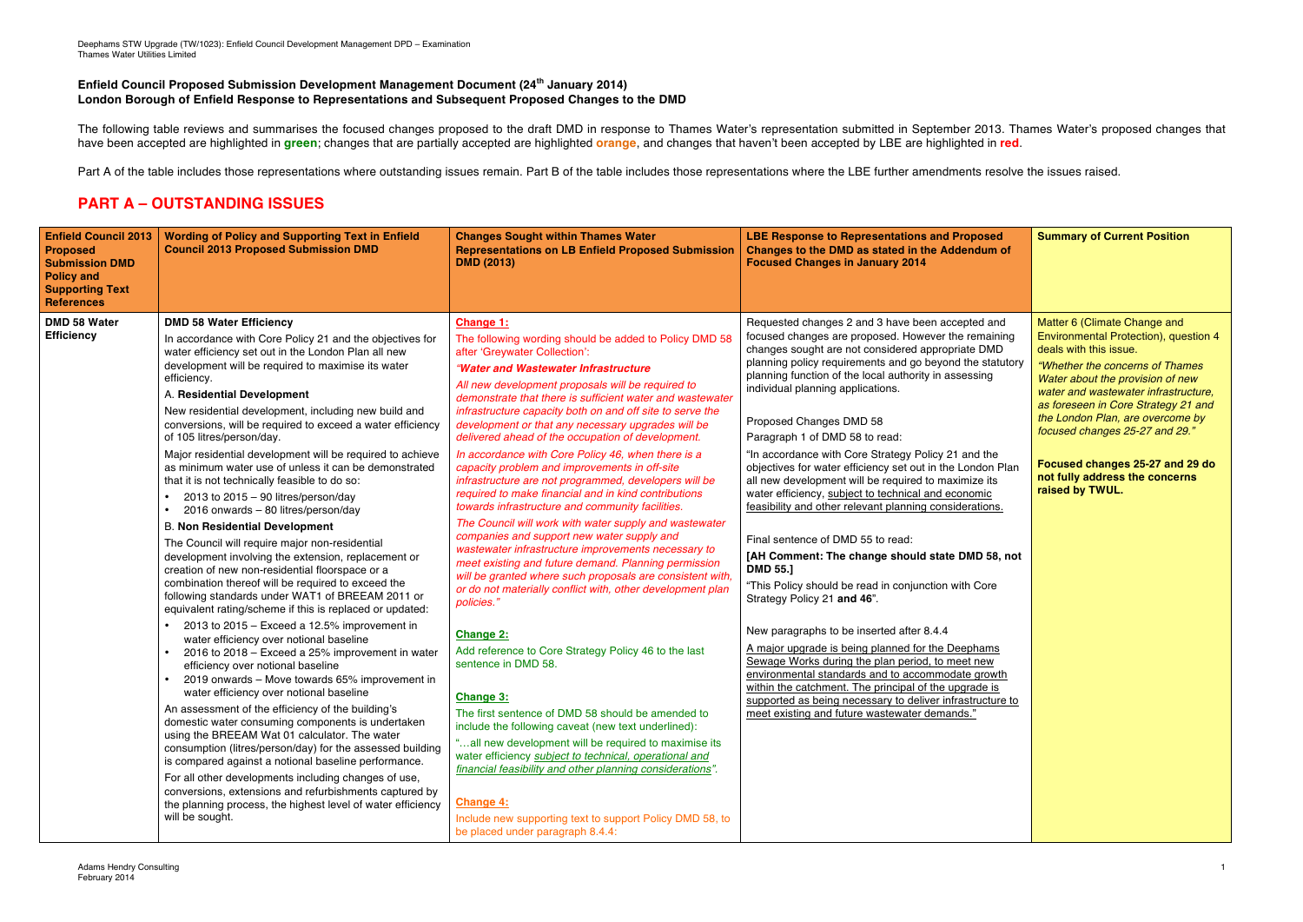## **Enfield Council Proposed Submission Development Management Document (24th January 2014) London Borough of Enfield Response to Representations and Subsequent Proposed Changes to the DMD**

The following table reviews and summarises the focused changes proposed to the draft DMD in response to Thames Water's representation submitted in September 2013. Thames Water's proposed changes that have been accepted are highlighted in **green**; changes that are partially accepted are highlighted **orange**, and changes that haven't been accepted by LBE are highlighted in **red**.

Part A of the table includes those representations where outstanding issues remain. Part B of the table includes those representations where the LBE further amendments resolve the issues raised.

## **PART A – OUTSTANDING ISSUES**

| <b>Enfield Council 2013</b><br><b>Proposed</b><br><b>Submission DMD</b><br><b>Policy and</b><br><b>Supporting Text</b><br><b>References</b> | <b>Wording of Policy and Supporting Text in Enfield</b><br><b>Council 2013 Proposed Submission DMD</b>                                                                                                                                                                                                                                                                                                                                                                                                                                                                                                                                                                                                                                                                                                                                                                                                                    | <b>Changes Sought within Thames Water</b><br><b>Representations on LB Enfield Proposed Submission</b><br><b>DMD (2013)</b>                                                                                                                                                                                                                                                                                                                                                                                                                                                                                                                                                                                                                                                                                                                                                                                                                                                                             | <b>LBE Response to Representations and Proposed</b><br>Changes to the DMD as stated in the Addendum of<br><b>Focused Changes in January 2014</b>                                                                                                                                                                                                                                                                                                                                                                                                                                                                                                                                                                                                                                                                                                       | <b>Summary of Current Position</b>                                                                                                                                                                                                                                                                                                                                                                                   |
|---------------------------------------------------------------------------------------------------------------------------------------------|---------------------------------------------------------------------------------------------------------------------------------------------------------------------------------------------------------------------------------------------------------------------------------------------------------------------------------------------------------------------------------------------------------------------------------------------------------------------------------------------------------------------------------------------------------------------------------------------------------------------------------------------------------------------------------------------------------------------------------------------------------------------------------------------------------------------------------------------------------------------------------------------------------------------------|--------------------------------------------------------------------------------------------------------------------------------------------------------------------------------------------------------------------------------------------------------------------------------------------------------------------------------------------------------------------------------------------------------------------------------------------------------------------------------------------------------------------------------------------------------------------------------------------------------------------------------------------------------------------------------------------------------------------------------------------------------------------------------------------------------------------------------------------------------------------------------------------------------------------------------------------------------------------------------------------------------|--------------------------------------------------------------------------------------------------------------------------------------------------------------------------------------------------------------------------------------------------------------------------------------------------------------------------------------------------------------------------------------------------------------------------------------------------------------------------------------------------------------------------------------------------------------------------------------------------------------------------------------------------------------------------------------------------------------------------------------------------------------------------------------------------------------------------------------------------------|----------------------------------------------------------------------------------------------------------------------------------------------------------------------------------------------------------------------------------------------------------------------------------------------------------------------------------------------------------------------------------------------------------------------|
| DMD 58 Water<br><b>Efficiency</b>                                                                                                           | <b>DMD 58 Water Efficiency</b><br>In accordance with Core Policy 21 and the objectives for<br>water efficiency set out in the London Plan all new<br>development will be required to maximise its water<br>efficiency.<br>A. Residential Development<br>New residential development, including new build and<br>conversions, will be required to exceed a water efficiency<br>of 105 litres/person/day.<br>Major residential development will be required to achieve<br>as minimum water use of unless it can be demonstrated<br>that it is not technically feasible to do so:<br>2013 to $2015 - 90$ litres/person/day<br>2016 onwards - 80 litres/person/day<br><b>B. Non Residential Development</b><br>The Council will require major non-residential<br>development involving the extension, replacement or<br>creation of new non-residential floorspace or a<br>combination thereof will be required to exceed the | Change 1:<br>The following wording should be added to Policy DMD 58<br>after 'Greywater Collection':<br>"Water and Wastewater Infrastructure<br>All new development proposals will be required to<br>demonstrate that there is sufficient water and wastewater<br>infrastructure capacity both on and off site to serve the<br>development or that any necessary upgrades will be<br>delivered ahead of the occupation of development.<br>In accordance with Core Policy 46, when there is a<br>capacity problem and improvements in off-site<br>infrastructure are not programmed, developers will be<br>required to make financial and in kind contributions<br>towards infrastructure and community facilities.<br>The Council will work with water supply and wastewater<br>companies and support new water supply and<br>wastewater infrastructure improvements necessary to<br>meet existing and future demand. Planning permission<br>will be granted where such proposals are consistent with, | Requested changes 2 and 3 have been accepted and<br>focused changes are proposed. However the remaining<br>changes sought are not considered appropriate DMD<br>planning policy requirements and go beyond the statutory<br>planning function of the local authority in assessing<br>individual planning applications.<br>Proposed Changes DMD 58<br>Paragraph 1 of DMD 58 to read:<br>"In accordance with Core Strategy Policy 21 and the<br>objectives for water efficiency set out in the London Plan<br>all new development will be required to maximize its<br>water efficiency, subject to technical and economic<br>feasibility and other relevant planning considerations.<br>Final sentence of DMD 55 to read:<br>[AH Comment: The change should state DMD 58, not<br><b>DMD 55.]</b><br>"This Policy should be read in conjunction with Core | Matter 6 (Climate Change and<br>Environmental Protection), question 4<br>deals with this issue.<br>"Whether the concerns of Thames"<br>Water about the provision of new<br>water and wastewater infrastructure,<br>as foreseen in Core Strategy 21 and<br>the London Plan, are overcome by<br>focused changes 25-27 and 29."<br>Focused changes 25-27 and 29 do<br>not fully address the concerns<br>raised by TWUL. |
|                                                                                                                                             | following standards under WAT1 of BREEAM 2011 or<br>equivalent rating/scheme if this is replaced or updated:<br>2013 to 2015 – Exceed a 12.5% improvement in<br>water efficiency over notional baseline<br>2016 to 2018 - Exceed a 25% improvement in water<br>efficiency over notional baseline<br>2019 onwards - Move towards 65% improvement in<br>water efficiency over notional baseline<br>An assessment of the efficiency of the building's<br>domestic water consuming components is undertaken<br>using the BREEAM Wat 01 calculator. The water<br>consumption (litres/person/day) for the assessed building<br>is compared against a notional baseline performance.<br>For all other developments including changes of use,<br>conversions, extensions and refurbishments captured by<br>the planning process, the highest level of water efficiency<br>will be sought.                                         | or do not materially conflict with, other development plan<br>policies."<br><b>Change 2:</b><br>Add reference to Core Strategy Policy 46 to the last<br>sentence in DMD 58.<br><b>Change 3:</b><br>The first sentence of DMD 58 should be amended to<br>include the following caveat (new text underlined):<br>"all new development will be required to maximise its<br>water efficiency subject to technical, operational and<br>financial feasibility and other planning considerations".<br><b>Change 4:</b><br>Include new supporting text to support Policy DMD 58, to<br>be placed under paragraph 8.4.4:                                                                                                                                                                                                                                                                                                                                                                                        | Strategy Policy 21 and 46".<br>New paragraphs to be inserted after 8.4.4<br>A major upgrade is being planned for the Deephams<br>Sewage Works during the plan period, to meet new<br>environmental standards and to accommodate growth<br>within the catchment. The principal of the upgrade is<br>supported as being necessary to deliver infrastructure to<br>meet existing and future wastewater demands."                                                                                                                                                                                                                                                                                                                                                                                                                                          |                                                                                                                                                                                                                                                                                                                                                                                                                      |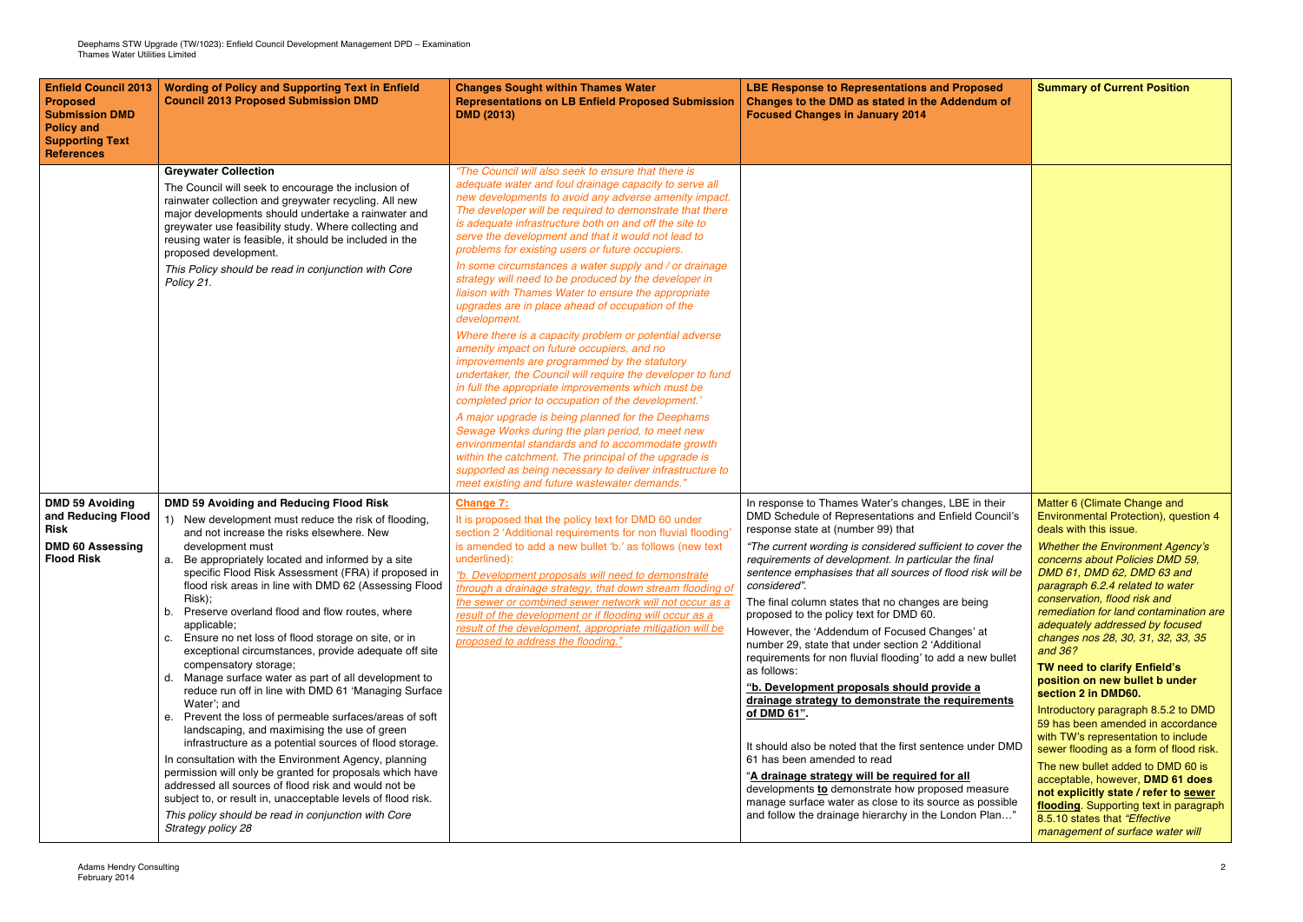| <b>Enfield Council 2013</b><br><b>Proposed</b><br><b>Submission DMD</b><br><b>Policy and</b><br><b>Supporting Text</b><br><b>References</b> | <b>Wording of Policy and Supporting Text in Enfield</b><br><b>Council 2013 Proposed Submission DMD</b>                                                                                                                                                                                                                                                                                                                                                                                                                                                                                                                                                                                                                                                                                                                                                                                                                                                                                                                                                                                                                                                                                                   | <b>Changes Sought within Thames Water</b><br><b>Representations on LB Enfield Proposed Submission</b><br><b>DMD (2013)</b>                                                                                                                                                                                                                                                                                                                                                                                                                                                                                                                                                                                                                                                                                                                                                                                                                                                                                                                                                                                                                                                                                                                                                                                                   | <b>LBE Response to Representations and Proposed</b><br>Changes to the DMD as stated in the Addendum of<br><b>Focused Changes in January 2014</b>                                                                                                                                                                                                                                                                                                                                                                                                                                                                                                                                                                                                                                                                                                                                                                                                                                                                                                                                 | <b>Summary of Current Position</b>                                                                                                                                                                                                                                                                                                                                                                                                                                                                                                                                                                                                                                                                                                                                                                                                                                                                    |
|---------------------------------------------------------------------------------------------------------------------------------------------|----------------------------------------------------------------------------------------------------------------------------------------------------------------------------------------------------------------------------------------------------------------------------------------------------------------------------------------------------------------------------------------------------------------------------------------------------------------------------------------------------------------------------------------------------------------------------------------------------------------------------------------------------------------------------------------------------------------------------------------------------------------------------------------------------------------------------------------------------------------------------------------------------------------------------------------------------------------------------------------------------------------------------------------------------------------------------------------------------------------------------------------------------------------------------------------------------------|------------------------------------------------------------------------------------------------------------------------------------------------------------------------------------------------------------------------------------------------------------------------------------------------------------------------------------------------------------------------------------------------------------------------------------------------------------------------------------------------------------------------------------------------------------------------------------------------------------------------------------------------------------------------------------------------------------------------------------------------------------------------------------------------------------------------------------------------------------------------------------------------------------------------------------------------------------------------------------------------------------------------------------------------------------------------------------------------------------------------------------------------------------------------------------------------------------------------------------------------------------------------------------------------------------------------------|----------------------------------------------------------------------------------------------------------------------------------------------------------------------------------------------------------------------------------------------------------------------------------------------------------------------------------------------------------------------------------------------------------------------------------------------------------------------------------------------------------------------------------------------------------------------------------------------------------------------------------------------------------------------------------------------------------------------------------------------------------------------------------------------------------------------------------------------------------------------------------------------------------------------------------------------------------------------------------------------------------------------------------------------------------------------------------|-------------------------------------------------------------------------------------------------------------------------------------------------------------------------------------------------------------------------------------------------------------------------------------------------------------------------------------------------------------------------------------------------------------------------------------------------------------------------------------------------------------------------------------------------------------------------------------------------------------------------------------------------------------------------------------------------------------------------------------------------------------------------------------------------------------------------------------------------------------------------------------------------------|
|                                                                                                                                             | <b>Greywater Collection</b><br>The Council will seek to encourage the inclusion of<br>rainwater collection and greywater recycling. All new<br>major developments should undertake a rainwater and<br>greywater use feasibility study. Where collecting and<br>reusing water is feasible, it should be included in the<br>proposed development.<br>This Policy should be read in conjunction with Core<br>Policy 21.                                                                                                                                                                                                                                                                                                                                                                                                                                                                                                                                                                                                                                                                                                                                                                                     | "The Council will also seek to ensure that there is<br>adequate water and foul drainage capacity to serve all<br>new developments to avoid any adverse amenity impact.<br>The developer will be required to demonstrate that there<br>is adequate infrastructure both on and off the site to<br>serve the development and that it would not lead to<br>problems for existing users or future occupiers.<br>In some circumstances a water supply and / or drainage<br>strategy will need to be produced by the developer in<br>liaison with Thames Water to ensure the appropriate<br>upgrades are in place ahead of occupation of the<br>development.<br>Where there is a capacity problem or potential adverse<br>amenity impact on future occupiers, and no<br>improvements are programmed by the statutory<br>undertaker, the Council will require the developer to fund<br>in full the appropriate improvements which must be<br>completed prior to occupation of the development.'<br>A major upgrade is being planned for the Deephams<br>Sewage Works during the plan period, to meet new<br>environmental standards and to accommodate growth<br>within the catchment. The principal of the upgrade is<br>supported as being necessary to deliver infrastructure to<br>meet existing and future wastewater demands." |                                                                                                                                                                                                                                                                                                                                                                                                                                                                                                                                                                                                                                                                                                                                                                                                                                                                                                                                                                                                                                                                                  |                                                                                                                                                                                                                                                                                                                                                                                                                                                                                                                                                                                                                                                                                                                                                                                                                                                                                                       |
| <b>DMD 59 Avoiding</b><br>and Reducing Flood<br>Risk<br><b>DMD 60 Assessing</b><br><b>Flood Risk</b>                                        | <b>DMD 59 Avoiding and Reducing Flood Risk</b><br>New development must reduce the risk of flooding,<br>1)<br>and not increase the risks elsewhere. New<br>development must<br>a. Be appropriately located and informed by a site<br>specific Flood Risk Assessment (FRA) if proposed in<br>flood risk areas in line with DMD 62 (Assessing Flood<br>Risk);<br>b. Preserve overland flood and flow routes, where<br>applicable;<br>c. Ensure no net loss of flood storage on site, or in<br>exceptional circumstances, provide adequate off site<br>compensatory storage;<br>d. Manage surface water as part of all development to<br>reduce run off in line with DMD 61 'Managing Surface<br>Water'; and<br>e. Prevent the loss of permeable surfaces/areas of soft<br>landscaping, and maximising the use of green<br>infrastructure as a potential sources of flood storage.<br>In consultation with the Environment Agency, planning<br>permission will only be granted for proposals which have<br>addressed all sources of flood risk and would not be<br>subject to, or result in, unacceptable levels of flood risk.<br>This policy should be read in conjunction with Core<br>Strategy policy 28 | <b>Change 7:</b><br>It is proposed that the policy text for DMD 60 under<br>section 2 'Additional requirements for non fluvial flooding'<br>is amended to add a new bullet 'b.' as follows (new text<br>underlined):<br>"b. Development proposals will need to demonstrate<br>through a drainage strategy, that down stream flooding of<br>the sewer or combined sewer network will not occur as a<br>result of the development or if flooding will occur as a<br>result of the development, appropriate mitigation will be<br>proposed to address the flooding."                                                                                                                                                                                                                                                                                                                                                                                                                                                                                                                                                                                                                                                                                                                                                            | In response to Thames Water's changes, LBE in their<br>DMD Schedule of Representations and Enfield Council's<br>response state at (number 99) that<br>"The current wording is considered sufficient to cover the<br>requirements of development. In particular the final<br>sentence emphasises that all sources of flood risk will be<br>considered".<br>The final column states that no changes are being<br>proposed to the policy text for DMD 60.<br>However, the 'Addendum of Focused Changes' at<br>number 29, state that under section 2 'Additional<br>requirements for non fluvial flooding' to add a new bullet<br>as follows:<br>"b. Development proposals should provide a<br>drainage strategy to demonstrate the requirements<br>of DMD 61".<br>It should also be noted that the first sentence under DMD<br>61 has been amended to read<br>"A drainage strategy will be required for all<br>developments to demonstrate how proposed measure<br>manage surface water as close to its source as possible<br>and follow the drainage hierarchy in the London Plan" | Matter 6 (Climate Change and<br>Environmental Protection), question 4<br>deals with this issue.<br><b>Whether the Environment Agency's</b><br>concerns about Policies DMD 59,<br>DMD 61, DMD 62, DMD 63 and<br>paragraph 6.2.4 related to water<br>conservation, flood risk and<br>remediation for land contamination are<br>adequately addressed by focused<br>changes nos 28, 30, 31, 32, 33, 35<br>and 36?<br>TW need to clarify Enfield's<br>position on new bullet b under<br>section 2 in DMD60.<br>Introductory paragraph 8.5.2 to DMD<br>59 has been amended in accordance<br>with TW's representation to include<br>sewer flooding as a form of flood risk.<br>The new bullet added to DMD 60 is<br>acceptable, however, DMD 61 does<br>not explicitly state / refer to sewer<br>flooding. Supporting text in paragraph<br>8.5.10 states that "Effective<br>management of surface water will |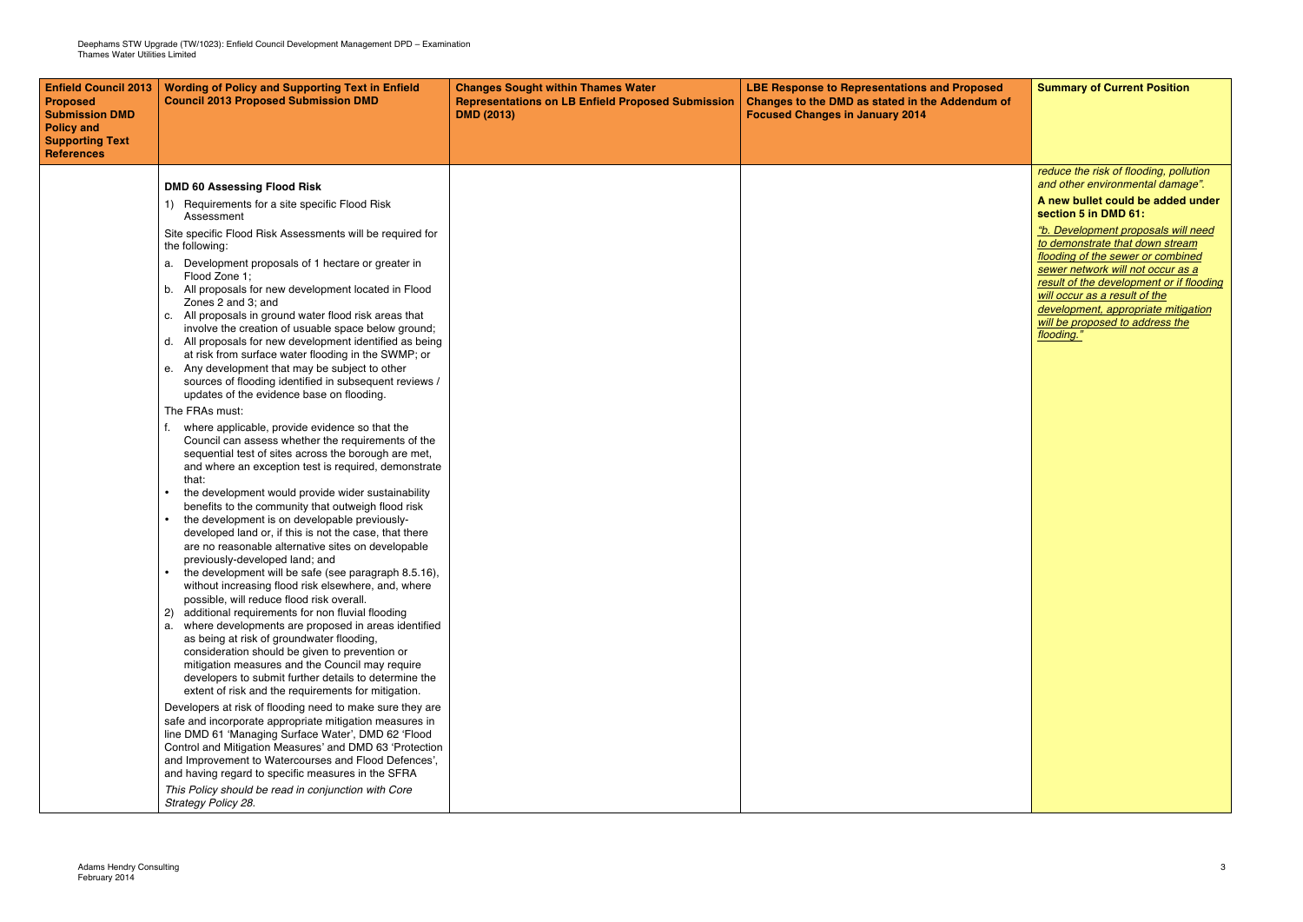| <b>Enfield Council 2013</b><br><b>Proposed</b><br><b>Submission DMD</b><br><b>Policy and</b><br><b>Supporting Text</b><br><b>References</b> | <b>Wording of Policy and Supporting Text in Enfield</b><br><b>Council 2013 Proposed Submission DMD</b>                                                                                                                                                                                                                                               | <b>Changes Sought within Thames Water</b><br><b>Representations on LB Enfield Proposed Submission</b><br><b>DMD (2013)</b> | <b>LBE Response to Representations and Proposed</b><br>Changes to the DMD as stated in the Addendum of<br><b>Focused Changes in January 2014</b> | <b>Summary of Current Position</b>                                                                                                                                                                                            |
|---------------------------------------------------------------------------------------------------------------------------------------------|------------------------------------------------------------------------------------------------------------------------------------------------------------------------------------------------------------------------------------------------------------------------------------------------------------------------------------------------------|----------------------------------------------------------------------------------------------------------------------------|--------------------------------------------------------------------------------------------------------------------------------------------------|-------------------------------------------------------------------------------------------------------------------------------------------------------------------------------------------------------------------------------|
|                                                                                                                                             | <b>DMD 60 Assessing Flood Risk</b>                                                                                                                                                                                                                                                                                                                   |                                                                                                                            |                                                                                                                                                  | reduce the risk of flooding, pollution<br>and other environmental damage".                                                                                                                                                    |
|                                                                                                                                             | Requirements for a site specific Flood Risk<br>1).<br>Assessment                                                                                                                                                                                                                                                                                     |                                                                                                                            |                                                                                                                                                  | A new bullet could be added under<br>section 5 in DMD 61:                                                                                                                                                                     |
|                                                                                                                                             | Site specific Flood Risk Assessments will be required for<br>the following:                                                                                                                                                                                                                                                                          |                                                                                                                            |                                                                                                                                                  | "b. Development proposals will need<br>to demonstrate that down stream                                                                                                                                                        |
|                                                                                                                                             | a. Development proposals of 1 hectare or greater in<br>Flood Zone 1;<br>b. All proposals for new development located in Flood<br>Zones 2 and 3: and<br>c. All proposals in ground water flood risk areas that<br>involve the creation of usuable space below ground;                                                                                 |                                                                                                                            |                                                                                                                                                  | flooding of the sewer or combined<br>sewer network will not occur as a<br>result of the development or if flooding<br>will occur as a result of the<br>development, appropriate mitigation<br>will be proposed to address the |
|                                                                                                                                             | d. All proposals for new development identified as being<br>at risk from surface water flooding in the SWMP; or<br>e. Any development that may be subject to other<br>sources of flooding identified in subsequent reviews /<br>updates of the evidence base on flooding.                                                                            |                                                                                                                            |                                                                                                                                                  | flooding."                                                                                                                                                                                                                    |
|                                                                                                                                             | The FRAs must:<br>where applicable, provide evidence so that the                                                                                                                                                                                                                                                                                     |                                                                                                                            |                                                                                                                                                  |                                                                                                                                                                                                                               |
|                                                                                                                                             | Council can assess whether the requirements of the<br>sequential test of sites across the borough are met,<br>and where an exception test is required, demonstrate<br>that:                                                                                                                                                                          |                                                                                                                            |                                                                                                                                                  |                                                                                                                                                                                                                               |
|                                                                                                                                             | the development would provide wider sustainability<br>benefits to the community that outweigh flood risk<br>the development is on developable previously-<br>developed land or, if this is not the case, that there                                                                                                                                  |                                                                                                                            |                                                                                                                                                  |                                                                                                                                                                                                                               |
|                                                                                                                                             | are no reasonable alternative sites on developable<br>previously-developed land; and<br>the development will be safe (see paragraph 8.5.16),                                                                                                                                                                                                         |                                                                                                                            |                                                                                                                                                  |                                                                                                                                                                                                                               |
|                                                                                                                                             | without increasing flood risk elsewhere, and, where<br>possible, will reduce flood risk overall.                                                                                                                                                                                                                                                     |                                                                                                                            |                                                                                                                                                  |                                                                                                                                                                                                                               |
|                                                                                                                                             | additional requirements for non fluvial flooding<br>where developments are proposed in areas identified<br>as being at risk of groundwater flooding,<br>consideration should be given to prevention or                                                                                                                                               |                                                                                                                            |                                                                                                                                                  |                                                                                                                                                                                                                               |
|                                                                                                                                             | mitigation measures and the Council may require<br>developers to submit further details to determine the<br>extent of risk and the requirements for mitigation.                                                                                                                                                                                      |                                                                                                                            |                                                                                                                                                  |                                                                                                                                                                                                                               |
|                                                                                                                                             | Developers at risk of flooding need to make sure they are<br>safe and incorporate appropriate mitigation measures in<br>line DMD 61 'Managing Surface Water', DMD 62 'Flood<br>Control and Mitigation Measures' and DMD 63 'Protection<br>and Improvement to Watercourses and Flood Defences',<br>and having regard to specific measures in the SFRA |                                                                                                                            |                                                                                                                                                  |                                                                                                                                                                                                                               |
|                                                                                                                                             | This Policy should be read in conjunction with Core<br>Strategy Policy 28.                                                                                                                                                                                                                                                                           |                                                                                                                            |                                                                                                                                                  |                                                                                                                                                                                                                               |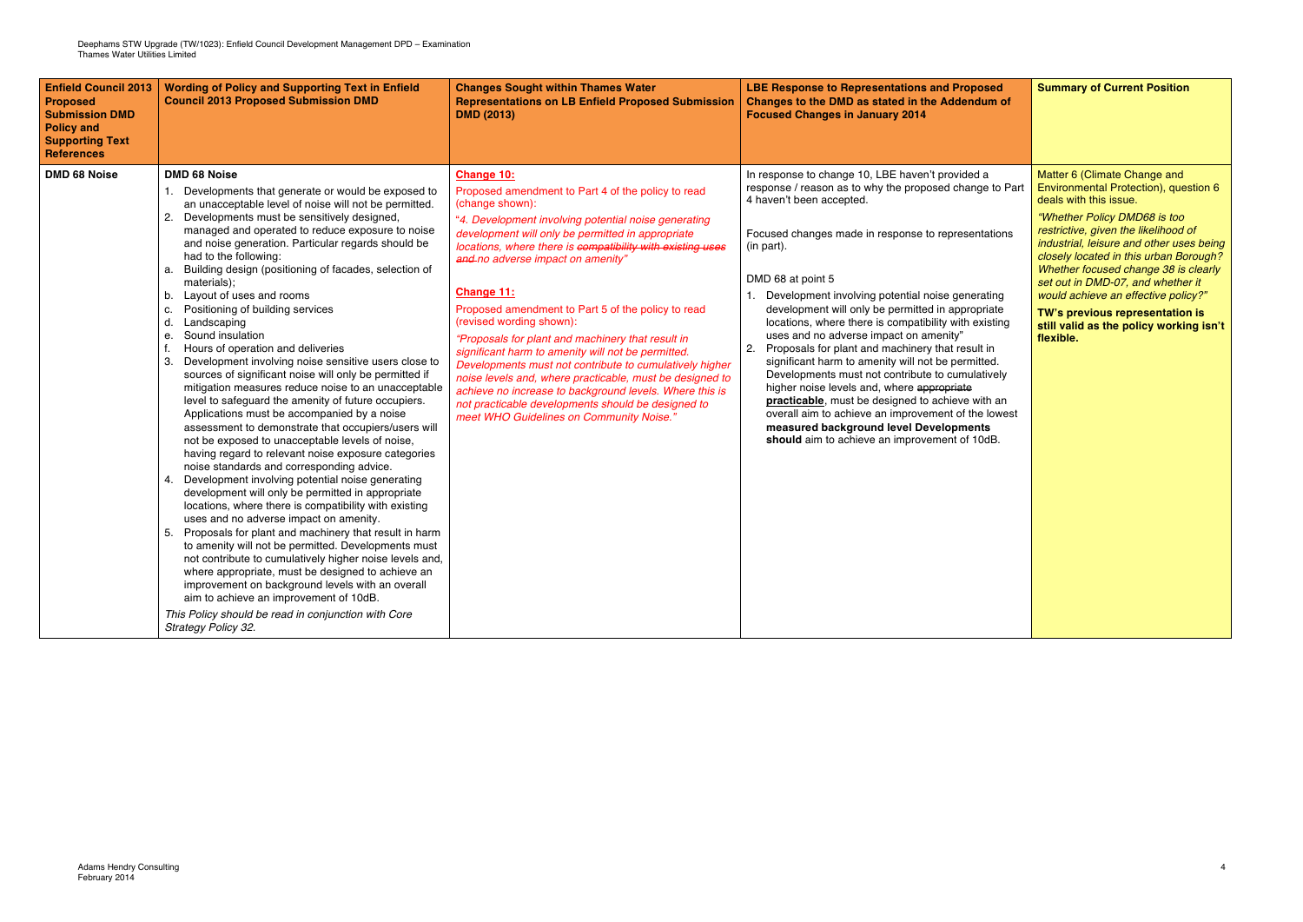| <b>Enfield Council 2013</b><br><b>Proposed</b><br><b>Submission DMD</b><br><b>Policy and</b><br><b>Supporting Text</b><br><b>References</b> | <b>Wording of Policy and Supporting Text in Enfield</b><br><b>Council 2013 Proposed Submission DMD</b>                                                                                                                                                                                                                                                                                                                                                                                                                                                                                                                                                                                                                                                                                                                                                                                                                                                                                                                                                                                                                                                                                                                                                                                                                                                                                                                                                                                                                                                                                                                                                                                      | <b>Changes Sought within Thames Water</b><br><b>Representations on LB Enfield Proposed Submission</b><br><b>DMD (2013)</b>                                                                                                                                                                                                                                                                                                                                                                                                                                                                                                                                                                                                                                                                         | <b>LBE Response to Representations and Proposed</b><br>Changes to the DMD as stated in the Addendum of<br><b>Focused Changes in January 2014</b>                                                                                                                                                                                                                                                                                                                                                                                                                                                                                                                                                                                                                                                                                                                      | <b>Summary of Current Position</b>                                                                                                                                                                                                                                                                                                                                                                                                                                           |
|---------------------------------------------------------------------------------------------------------------------------------------------|---------------------------------------------------------------------------------------------------------------------------------------------------------------------------------------------------------------------------------------------------------------------------------------------------------------------------------------------------------------------------------------------------------------------------------------------------------------------------------------------------------------------------------------------------------------------------------------------------------------------------------------------------------------------------------------------------------------------------------------------------------------------------------------------------------------------------------------------------------------------------------------------------------------------------------------------------------------------------------------------------------------------------------------------------------------------------------------------------------------------------------------------------------------------------------------------------------------------------------------------------------------------------------------------------------------------------------------------------------------------------------------------------------------------------------------------------------------------------------------------------------------------------------------------------------------------------------------------------------------------------------------------------------------------------------------------|----------------------------------------------------------------------------------------------------------------------------------------------------------------------------------------------------------------------------------------------------------------------------------------------------------------------------------------------------------------------------------------------------------------------------------------------------------------------------------------------------------------------------------------------------------------------------------------------------------------------------------------------------------------------------------------------------------------------------------------------------------------------------------------------------|-----------------------------------------------------------------------------------------------------------------------------------------------------------------------------------------------------------------------------------------------------------------------------------------------------------------------------------------------------------------------------------------------------------------------------------------------------------------------------------------------------------------------------------------------------------------------------------------------------------------------------------------------------------------------------------------------------------------------------------------------------------------------------------------------------------------------------------------------------------------------|------------------------------------------------------------------------------------------------------------------------------------------------------------------------------------------------------------------------------------------------------------------------------------------------------------------------------------------------------------------------------------------------------------------------------------------------------------------------------|
| <b>DMD 68 Noise</b>                                                                                                                         | <b>DMD 68 Noise</b><br>1. Developments that generate or would be exposed to<br>an unacceptable level of noise will not be permitted.<br>2. Developments must be sensitively designed,<br>managed and operated to reduce exposure to noise<br>and noise generation. Particular regards should be<br>had to the following:<br>a. Building design (positioning of facades, selection of<br>materials);<br>b. Layout of uses and rooms<br>c. Positioning of building services<br>d. Landscaping<br>e. Sound insulation<br>f.<br>Hours of operation and deliveries<br>3. Development involving noise sensitive users close to<br>sources of significant noise will only be permitted if<br>mitigation measures reduce noise to an unacceptable<br>level to safeguard the amenity of future occupiers.<br>Applications must be accompanied by a noise<br>assessment to demonstrate that occupiers/users will<br>not be exposed to unacceptable levels of noise,<br>having regard to relevant noise exposure categories<br>noise standards and corresponding advice.<br>4. Development involving potential noise generating<br>development will only be permitted in appropriate<br>locations, where there is compatibility with existing<br>uses and no adverse impact on amenity.<br>5. Proposals for plant and machinery that result in harm<br>to amenity will not be permitted. Developments must<br>not contribute to cumulatively higher noise levels and,<br>where appropriate, must be designed to achieve an<br>improvement on background levels with an overall<br>aim to achieve an improvement of 10dB.<br>This Policy should be read in conjunction with Core<br>Strategy Policy 32. | Change 10:<br>Proposed amendment to Part 4 of the policy to read<br>(change shown):<br>"4. Development involving potential noise generating<br>development will only be permitted in appropriate<br>locations, where there is compatibility with existing uses<br>and no adverse impact on amenity"<br>Change 11:<br>Proposed amendment to Part 5 of the policy to read<br>(revised wording shown):<br>"Proposals for plant and machinery that result in<br>significant harm to amenity will not be permitted.<br>Developments must not contribute to cumulatively higher<br>noise levels and, where practicable, must be designed to<br>achieve no increase to background levels. Where this is<br>not practicable developments should be designed to<br>meet WHO Guidelines on Community Noise.' | In response to change 10, LBE haven't provided a<br>response / reason as to why the proposed change to Part<br>4 haven't been accepted.<br>Focused changes made in response to representations<br>(in part).<br>DMD 68 at point 5<br>Development involving potential noise generating<br>development will only be permitted in appropriate<br>locations, where there is compatibility with existing<br>uses and no adverse impact on amenity"<br>2.<br>Proposals for plant and machinery that result in<br>significant harm to amenity will not be permitted.<br>Developments must not contribute to cumulatively<br>higher noise levels and, where appropriate<br>practicable, must be designed to achieve with an<br>overall aim to achieve an improvement of the lowest<br>measured background level Developments<br>should aim to achieve an improvement of 10dB. | Matter 6 (Climate Change and<br>Environmental Protection), question 6<br>deals with this issue.<br>"Whether Policy DMD68 is too<br>restrictive, given the likelihood of<br>industrial, leisure and other uses being<br>closely located in this urban Borough?<br>Whether focused change 38 is clearly<br>set out in DMD-07, and whether it<br>would achieve an effective policy?"<br>TW's previous representation is<br>still valid as the policy working isn't<br>flexible. |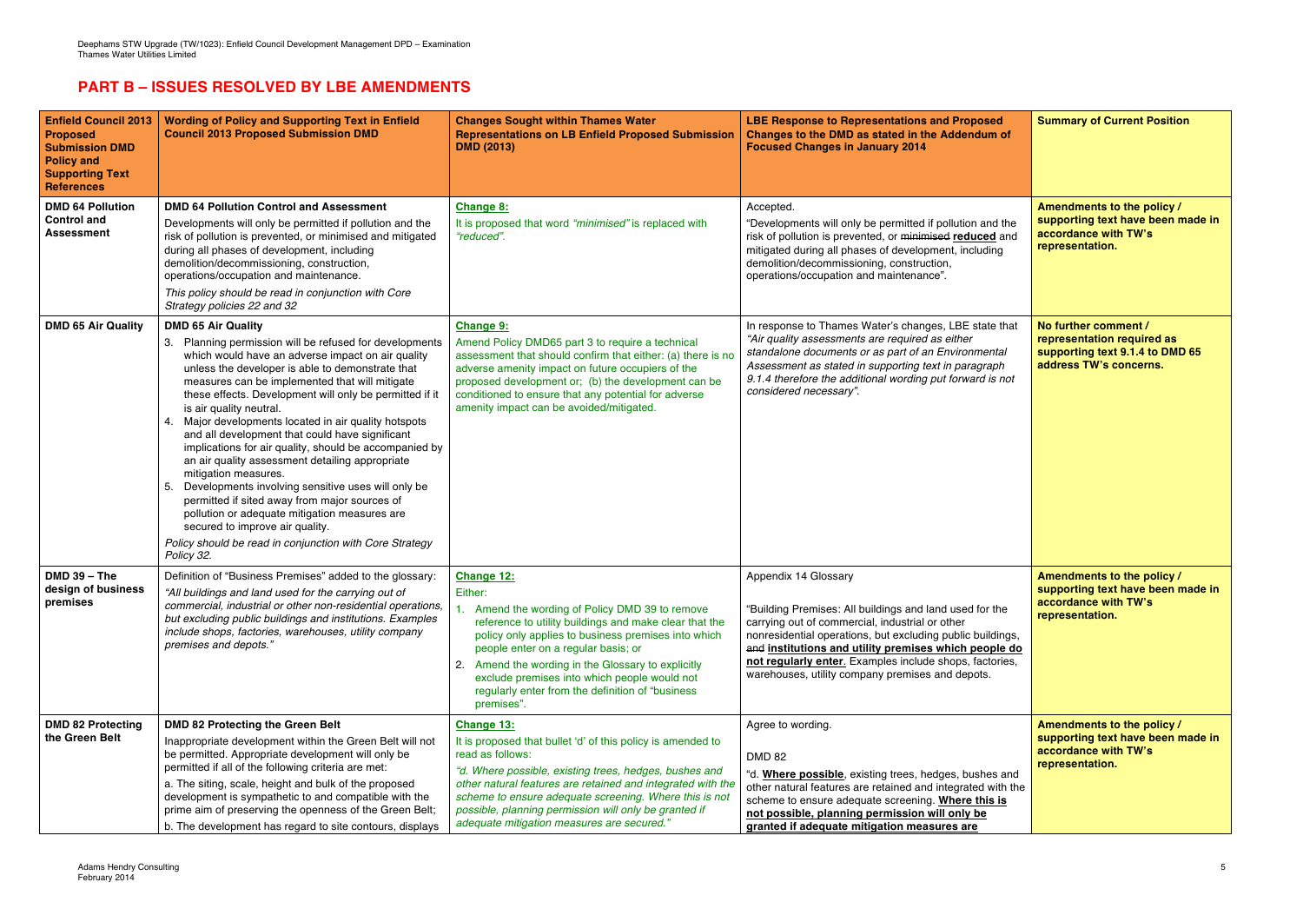## **PART B – ISSUES RESOLVED BY LBE AMENDMENTS**

| <b>Enfield Council 2013</b><br><b>Proposed</b><br><b>Submission DMD</b><br><b>Policy and</b><br><b>Supporting Text</b><br><b>References</b> | <b>Wording of Policy and Supporting Text in Enfield</b><br><b>Council 2013 Proposed Submission DMD</b>                                                                                                                                                                                                                                                                                                                                                                                                                                                                                                                                                                                                                                                                                                                                                        | <b>Changes Sought within Thames Water</b><br><b>Representations on LB Enfield Proposed Submission</b><br><b>DMD (2013)</b>                                                                                                                                                                                                                                                                          | <b>LBE Response to Representations and Proposed</b><br>Changes to the DMD as stated in the Addendum of<br><b>Focused Changes in January 2014</b>                                                                                                                                                                                                                         | <b>Summary of Current Position</b>                                                                              |
|---------------------------------------------------------------------------------------------------------------------------------------------|---------------------------------------------------------------------------------------------------------------------------------------------------------------------------------------------------------------------------------------------------------------------------------------------------------------------------------------------------------------------------------------------------------------------------------------------------------------------------------------------------------------------------------------------------------------------------------------------------------------------------------------------------------------------------------------------------------------------------------------------------------------------------------------------------------------------------------------------------------------|-----------------------------------------------------------------------------------------------------------------------------------------------------------------------------------------------------------------------------------------------------------------------------------------------------------------------------------------------------------------------------------------------------|--------------------------------------------------------------------------------------------------------------------------------------------------------------------------------------------------------------------------------------------------------------------------------------------------------------------------------------------------------------------------|-----------------------------------------------------------------------------------------------------------------|
| <b>DMD 64 Pollution</b><br><b>Control and</b><br><b>Assessment</b>                                                                          | <b>DMD 64 Pollution Control and Assessment</b><br>Developments will only be permitted if pollution and the<br>risk of pollution is prevented, or minimised and mitigated<br>during all phases of development, including<br>demolition/decommissioning, construction,<br>operations/occupation and maintenance.<br>This policy should be read in conjunction with Core<br>Strategy policies 22 and 32                                                                                                                                                                                                                                                                                                                                                                                                                                                          | Change 8:<br>It is proposed that word "minimised" is replaced with<br>"reduced".                                                                                                                                                                                                                                                                                                                    | Accepted.<br>"Developments will only be permitted if pollution and the<br>risk of pollution is prevented, or minimised reduced and<br>mitigated during all phases of development, including<br>demolition/decommissioning, construction,<br>operations/occupation and maintenance".                                                                                      | Amendments to the policy /<br>supporting text have been made in<br>accordance with TW's<br>representation.      |
| <b>DMD 65 Air Quality</b>                                                                                                                   | <b>DMD 65 Air Quality</b><br>3. Planning permission will be refused for developments<br>which would have an adverse impact on air quality<br>unless the developer is able to demonstrate that<br>measures can be implemented that will mitigate<br>these effects. Development will only be permitted if it<br>is air quality neutral.<br>4. Major developments located in air quality hotspots<br>and all development that could have significant<br>implications for air quality, should be accompanied by<br>an air quality assessment detailing appropriate<br>mitigation measures.<br>5. Developments involving sensitive uses will only be<br>permitted if sited away from major sources of<br>pollution or adequate mitigation measures are<br>secured to improve air quality.<br>Policy should be read in conjunction with Core Strategy<br>Policy 32. | <b>Change 9:</b><br>Amend Policy DMD65 part 3 to require a technical<br>assessment that should confirm that either: (a) there is no<br>adverse amenity impact on future occupiers of the<br>proposed development or; (b) the development can be<br>conditioned to ensure that any potential for adverse<br>amenity impact can be avoided/mitigated.                                                 | In response to Thames Water's changes, LBE state that<br>"Air quality assessments are required as either<br>standalone documents or as part of an Environmental<br>Assessment as stated in supporting text in paragraph<br>9.1.4 therefore the additional wording put forward is not<br>considered necessary".                                                           | No further comment /<br>representation required as<br>supporting text 9.1.4 to DMD 65<br>address TW's concerns. |
| $DMD 39 - The$<br>design of business<br>premises                                                                                            | Definition of "Business Premises" added to the glossary:<br>"All buildings and land used for the carrying out of<br>commercial, industrial or other non-residential operations,<br>but excluding public buildings and institutions. Examples<br>include shops, factories, warehouses, utility company<br>premises and depots."                                                                                                                                                                                                                                                                                                                                                                                                                                                                                                                                | Change 12:<br>Either:<br>Amend the wording of Policy DMD 39 to remove<br>reference to utility buildings and make clear that the<br>policy only applies to business premises into which<br>people enter on a regular basis; or<br>Amend the wording in the Glossary to explicitly<br>exclude premises into which people would not<br>regularly enter from the definition of "business"<br>premises". | Appendix 14 Glossary<br>"Building Premises: All buildings and land used for the<br>carrying out of commercial, industrial or other<br>nonresidential operations, but excluding public buildings,<br>and institutions and utility premises which people do<br>not regularly enter. Examples include shops, factories,<br>warehouses, utility company premises and depots. | Amendments to the policy /<br>supporting text have been made in<br>accordance with TW's<br>representation.      |
| <b>DMD 82 Protecting</b><br>the Green Belt                                                                                                  | <b>DMD 82 Protecting the Green Belt</b><br>Inappropriate development within the Green Belt will not<br>be permitted. Appropriate development will only be<br>permitted if all of the following criteria are met:<br>a. The siting, scale, height and bulk of the proposed<br>development is sympathetic to and compatible with the<br>prime aim of preserving the openness of the Green Belt;<br>b. The development has regard to site contours, displays                                                                                                                                                                                                                                                                                                                                                                                                     | Change 13:<br>It is proposed that bullet 'd' of this policy is amended to<br>read as follows:<br>"d. Where possible, existing trees, hedges, bushes and<br>other natural features are retained and integrated with the<br>scheme to ensure adequate screening. Where this is not<br>possible, planning permission will only be granted if<br>adequate mitigation measures are secured."             | Agree to wording.<br><b>DMD 82</b><br>"d. Where possible, existing trees, hedges, bushes and<br>other natural features are retained and integrated with the<br>scheme to ensure adequate screening. Where this is<br>not possible, planning permission will only be<br>granted if adequate mitigation measures are                                                       | Amendments to the policy /<br>supporting text have been made in<br>accordance with TW's<br>representation.      |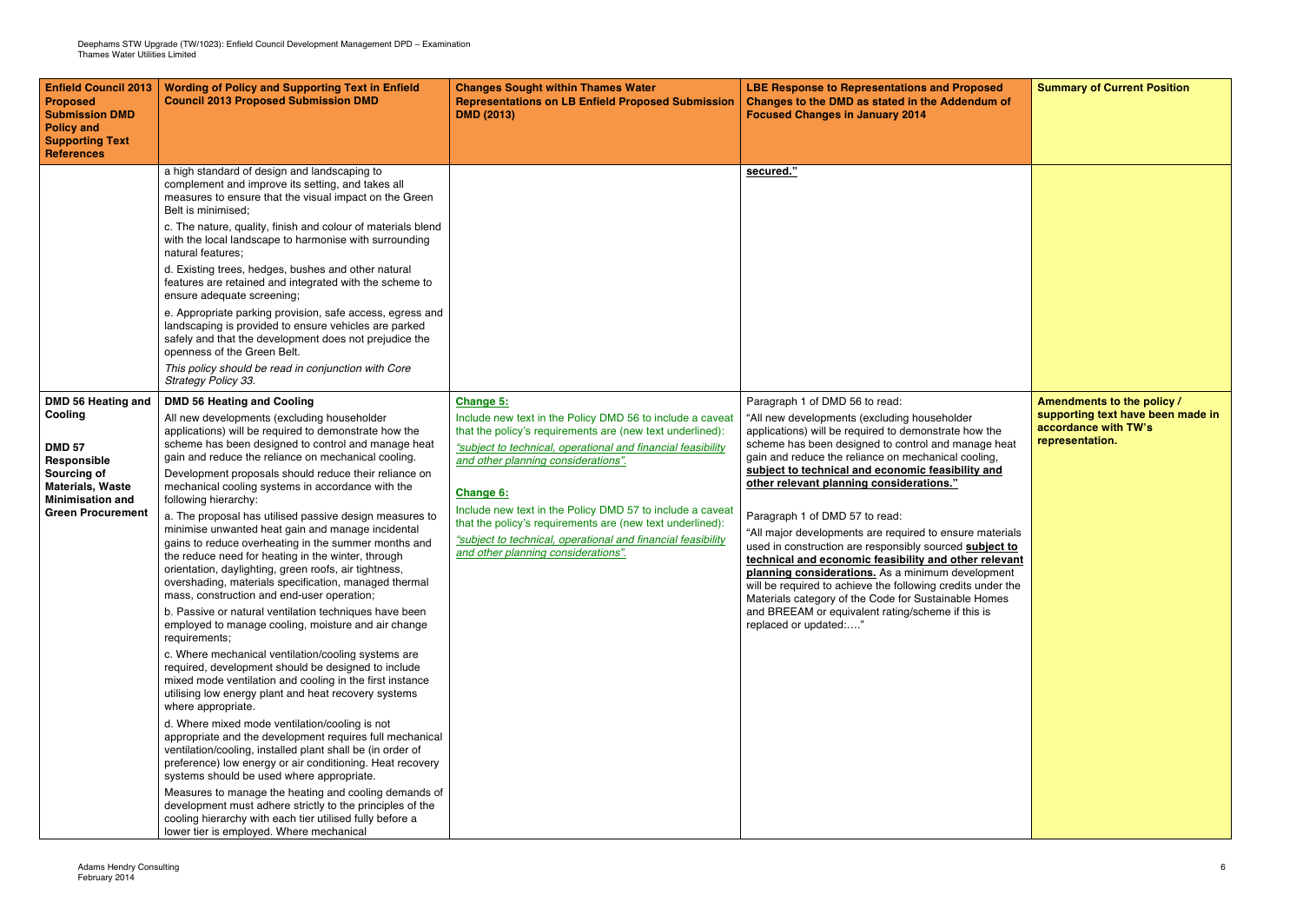| <b>Enfield Council 2013</b><br><b>Proposed</b><br><b>Submission DMD</b><br><b>Policy and</b><br><b>Supporting Text</b><br><b>References</b>                           | <b>Wording of Policy and Supporting Text in Enfield</b><br><b>Council 2013 Proposed Submission DMD</b>                                                                                                                                                                                                                                                                                                                                                                                                                                                                                                                                                                                                                                                                                                                                                                                                                                                                                                                                                                                                                                                                                                                                                                                                                                                                                                                                                                                                                                                                                                                                                                                                    | <b>Changes Sought within Thames Water</b><br><b>Representations on LB Enfield Proposed Submission</b><br><b>DMD (2013)</b>                                                                                                                                                                                                                                                                                                                                                                      | <b>LBE Response to Representations and Proposed</b><br>Changes to the DMD as stated in the Addendum of<br><b>Focused Changes in January 2014</b>                                                                                                                                                                                                                                                                                                                                                                                                                                                                                                                                                                                                                                                                                   |
|-----------------------------------------------------------------------------------------------------------------------------------------------------------------------|-----------------------------------------------------------------------------------------------------------------------------------------------------------------------------------------------------------------------------------------------------------------------------------------------------------------------------------------------------------------------------------------------------------------------------------------------------------------------------------------------------------------------------------------------------------------------------------------------------------------------------------------------------------------------------------------------------------------------------------------------------------------------------------------------------------------------------------------------------------------------------------------------------------------------------------------------------------------------------------------------------------------------------------------------------------------------------------------------------------------------------------------------------------------------------------------------------------------------------------------------------------------------------------------------------------------------------------------------------------------------------------------------------------------------------------------------------------------------------------------------------------------------------------------------------------------------------------------------------------------------------------------------------------------------------------------------------------|-------------------------------------------------------------------------------------------------------------------------------------------------------------------------------------------------------------------------------------------------------------------------------------------------------------------------------------------------------------------------------------------------------------------------------------------------------------------------------------------------|------------------------------------------------------------------------------------------------------------------------------------------------------------------------------------------------------------------------------------------------------------------------------------------------------------------------------------------------------------------------------------------------------------------------------------------------------------------------------------------------------------------------------------------------------------------------------------------------------------------------------------------------------------------------------------------------------------------------------------------------------------------------------------------------------------------------------------|
|                                                                                                                                                                       | a high standard of design and landscaping to<br>complement and improve its setting, and takes all<br>measures to ensure that the visual impact on the Green<br>Belt is minimised;<br>c. The nature, quality, finish and colour of materials blend<br>with the local landscape to harmonise with surrounding<br>natural features;<br>d. Existing trees, hedges, bushes and other natural<br>features are retained and integrated with the scheme to<br>ensure adequate screening;<br>e. Appropriate parking provision, safe access, egress and<br>landscaping is provided to ensure vehicles are parked<br>safely and that the development does not prejudice the<br>openness of the Green Belt.<br>This policy should be read in conjunction with Core<br>Strategy Policy 33.                                                                                                                                                                                                                                                                                                                                                                                                                                                                                                                                                                                                                                                                                                                                                                                                                                                                                                                             |                                                                                                                                                                                                                                                                                                                                                                                                                                                                                                 | secured."                                                                                                                                                                                                                                                                                                                                                                                                                                                                                                                                                                                                                                                                                                                                                                                                                          |
| <b>DMD 56 Heating and</b><br>Cooling<br><b>DMD 57</b><br>Responsible<br>Sourcing of<br><b>Materials, Waste</b><br><b>Minimisation and</b><br><b>Green Procurement</b> | <b>DMD 56 Heating and Cooling</b><br>All new developments (excluding householder<br>applications) will be required to demonstrate how the<br>scheme has been designed to control and manage heat<br>gain and reduce the reliance on mechanical cooling.<br>Development proposals should reduce their reliance on<br>mechanical cooling systems in accordance with the<br>following hierarchy:<br>a. The proposal has utilised passive design measures to<br>minimise unwanted heat gain and manage incidental<br>gains to reduce overheating in the summer months and<br>the reduce need for heating in the winter, through<br>orientation, daylighting, green roofs, air tightness,<br>overshading, materials specification, managed thermal<br>mass, construction and end-user operation;<br>b. Passive or natural ventilation techniques have been<br>employed to manage cooling, moisture and air change<br>requirements;<br>c. Where mechanical ventilation/cooling systems are<br>required, development should be designed to include<br>mixed mode ventilation and cooling in the first instance<br>utilising low energy plant and heat recovery systems<br>where appropriate.<br>d. Where mixed mode ventilation/cooling is not<br>appropriate and the development requires full mechanical<br>ventilation/cooling, installed plant shall be (in order of<br>preference) low energy or air conditioning. Heat recovery<br>systems should be used where appropriate.<br>Measures to manage the heating and cooling demands of<br>development must adhere strictly to the principles of the<br>cooling hierarchy with each tier utilised fully before a<br>lower tier is employed. Where mechanical | <b>Change 5:</b><br>Include new text in the Policy DMD 56 to include a caveat<br>that the policy's requirements are (new text underlined):<br>"subject to technical, operational and financial feasibility<br>and other planning considerations".<br>Change 6:<br>Include new text in the Policy DMD 57 to include a caveat<br>that the policy's requirements are (new text underlined):<br>"subject to technical, operational and financial feasibility<br>and other planning considerations". | Paragraph 1 of DMD 56 to read:<br>"All new developments (excluding householder<br>applications) will be required to demonstrate how the<br>scheme has been designed to control and manage heat<br>gain and reduce the reliance on mechanical cooling,<br>subject to technical and economic feasibility and<br>other relevant planning considerations."<br>Paragraph 1 of DMD 57 to read:<br>"All major developments are required to ensure materials<br>used in construction are responsibly sourced subject to<br>technical and economic feasibility and other relevant<br>planning considerations. As a minimum development<br>will be required to achieve the following credits under the<br>Materials category of the Code for Sustainable Homes<br>and BREEAM or equivalent rating/scheme if this is<br>replaced or updated:" |

| sed<br>m of                                                                  | <b>Summary of Current Position</b>                                                                         |
|------------------------------------------------------------------------------|------------------------------------------------------------------------------------------------------------|
|                                                                              |                                                                                                            |
| the<br>e heat<br>ιg,<br><u>and</u>                                           | Amendments to the policy /<br>supporting text have been made in<br>accordance with TW's<br>representation. |
| aterials<br><u>ject to</u><br><u>elevant</u><br>oment<br>der the<br>mes<br>s |                                                                                                            |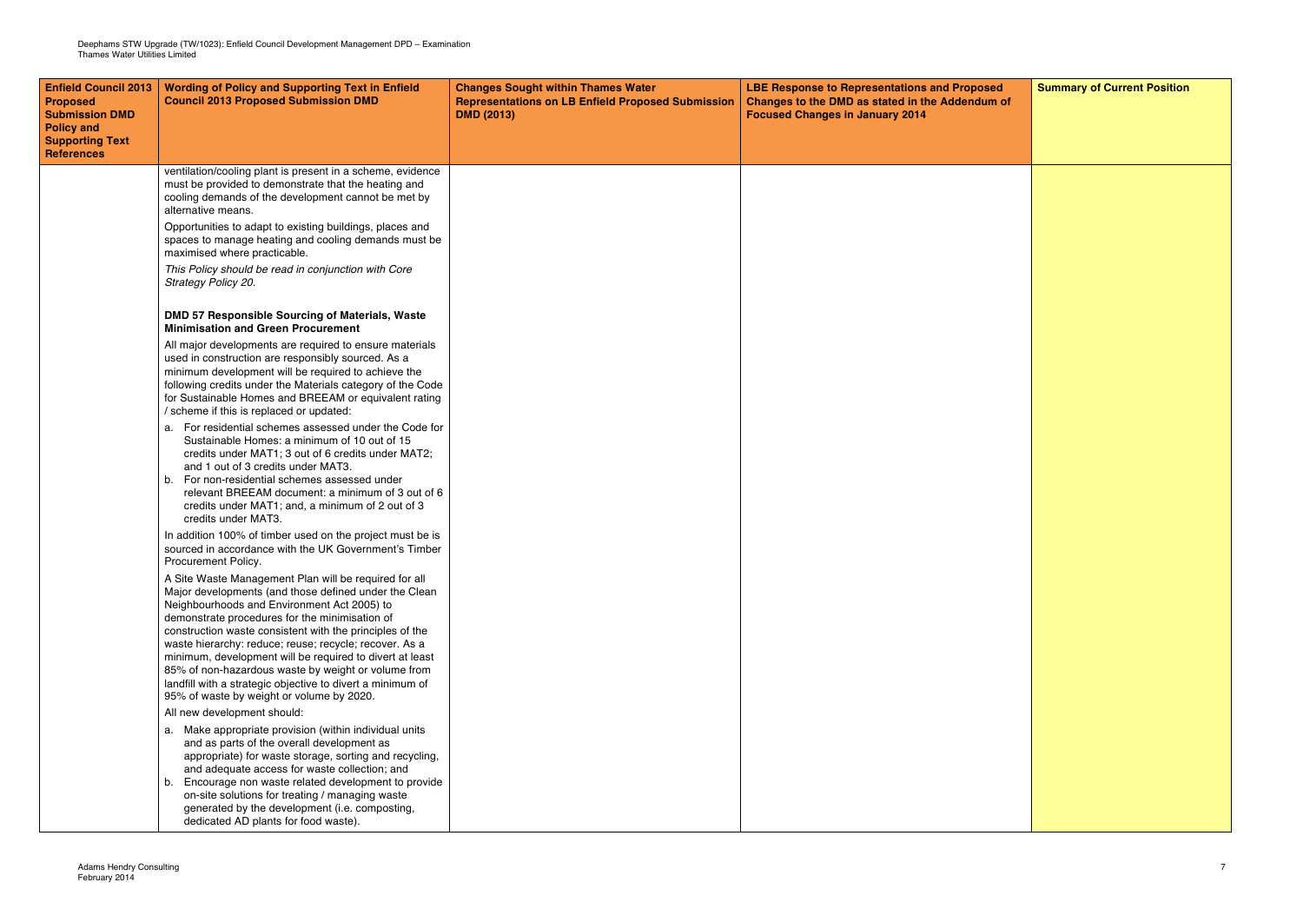| <b>Enfield Council 2013</b><br>Proposed<br><b>Submission DMD</b><br><b>Policy and</b><br><b>Supporting Text</b><br><b>References</b> | <b>Wording of Policy and Supporting Text in Enfield</b><br><b>Council 2013 Proposed Submission DMD</b>                                                                                                                                                                                                                                                                              | <b>Changes Sought within Thames Water</b><br><b>Representations on LB Enfield Proposed Submission</b><br><b>DMD (2013)</b> | <b>LBE Response to Representations and Proposed</b><br>Changes to the DMD as stated in the Addendum of<br><b>Focused Changes in January 2014</b> | <b>Summary of Current Position</b> |
|--------------------------------------------------------------------------------------------------------------------------------------|-------------------------------------------------------------------------------------------------------------------------------------------------------------------------------------------------------------------------------------------------------------------------------------------------------------------------------------------------------------------------------------|----------------------------------------------------------------------------------------------------------------------------|--------------------------------------------------------------------------------------------------------------------------------------------------|------------------------------------|
|                                                                                                                                      | ventilation/cooling plant is present in a scheme, evidence<br>must be provided to demonstrate that the heating and<br>cooling demands of the development cannot be met by<br>alternative means.                                                                                                                                                                                     |                                                                                                                            |                                                                                                                                                  |                                    |
|                                                                                                                                      | Opportunities to adapt to existing buildings, places and<br>spaces to manage heating and cooling demands must be<br>maximised where practicable.                                                                                                                                                                                                                                    |                                                                                                                            |                                                                                                                                                  |                                    |
|                                                                                                                                      | This Policy should be read in conjunction with Core<br>Strategy Policy 20.                                                                                                                                                                                                                                                                                                          |                                                                                                                            |                                                                                                                                                  |                                    |
|                                                                                                                                      | DMD 57 Responsible Sourcing of Materials, Waste<br><b>Minimisation and Green Procurement</b>                                                                                                                                                                                                                                                                                        |                                                                                                                            |                                                                                                                                                  |                                    |
|                                                                                                                                      | All major developments are required to ensure materials<br>used in construction are responsibly sourced. As a<br>minimum development will be required to achieve the<br>following credits under the Materials category of the Code<br>for Sustainable Homes and BREEAM or equivalent rating<br>/ scheme if this is replaced or updated:                                             |                                                                                                                            |                                                                                                                                                  |                                    |
|                                                                                                                                      | a. For residential schemes assessed under the Code for<br>Sustainable Homes: a minimum of 10 out of 15<br>credits under MAT1; 3 out of 6 credits under MAT2;<br>and 1 out of 3 credits under MAT3.<br>b. For non-residential schemes assessed under<br>relevant BREEAM document: a minimum of 3 out of 6<br>credits under MAT1; and, a minimum of 2 out of 3<br>credits under MAT3. |                                                                                                                            |                                                                                                                                                  |                                    |
|                                                                                                                                      | In addition 100% of timber used on the project must be is<br>sourced in accordance with the UK Government's Timber<br>Procurement Policy.                                                                                                                                                                                                                                           |                                                                                                                            |                                                                                                                                                  |                                    |
|                                                                                                                                      | A Site Waste Management Plan will be required for all<br>Major developments (and those defined under the Clean<br>Neighbourhoods and Environment Act 2005) to<br>demonstrate procedures for the minimisation of<br>construction waste consistent with the principles of the                                                                                                         |                                                                                                                            |                                                                                                                                                  |                                    |
|                                                                                                                                      | waste hierarchy: reduce; reuse; recycle; recover. As a<br>minimum, development will be required to divert at least<br>85% of non-hazardous waste by weight or volume from<br>landfill with a strategic objective to divert a minimum of<br>95% of waste by weight or volume by 2020.                                                                                                |                                                                                                                            |                                                                                                                                                  |                                    |
|                                                                                                                                      | All new development should:                                                                                                                                                                                                                                                                                                                                                         |                                                                                                                            |                                                                                                                                                  |                                    |
|                                                                                                                                      | a. Make appropriate provision (within individual units<br>and as parts of the overall development as<br>appropriate) for waste storage, sorting and recycling,<br>and adequate access for waste collection; and                                                                                                                                                                     |                                                                                                                            |                                                                                                                                                  |                                    |
|                                                                                                                                      | b. Encourage non waste related development to provide<br>on-site solutions for treating / managing waste<br>generated by the development (i.e. composting,<br>dedicated AD plants for food waste).                                                                                                                                                                                  |                                                                                                                            |                                                                                                                                                  |                                    |